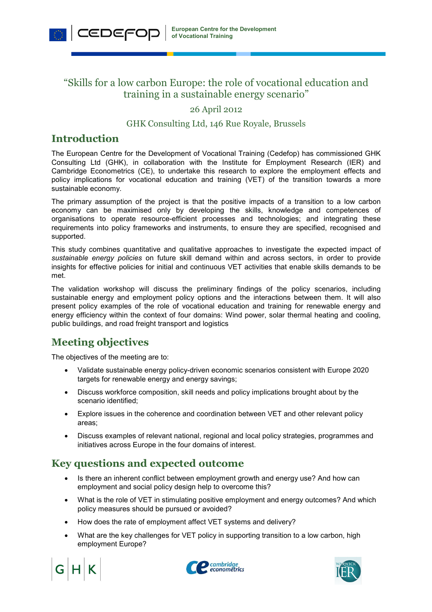## "Skills for a low carbon Europe: the role of vocational education and training in a sustainable energy scenario"

#### 26 April 2012

#### GHK Consulting Ltd, 146 Rue Royale, Brussels

### **Introduction**

CEDEFOD

The European Centre for the Development of Vocational Training (Cedefop) has commissioned GHK Consulting Ltd (GHK), in collaboration with the Institute for Employment Research (IER) and Cambridge Econometrics (CE), to undertake this research to explore the employment effects and policy implications for vocational education and training (VET) of the transition towards a more sustainable economy.

The primary assumption of the project is that the positive impacts of a transition to a low carbon economy can be maximised only by developing the skills, knowledge and competences of organisations to operate resource-efficient processes and technologies; and integrating these requirements into policy frameworks and instruments, to ensure they are specified, recognised and supported.

This study combines quantitative and qualitative approaches to investigate the expected impact of *sustainable energy policies* on future skill demand within and across sectors, in order to provide insights for effective policies for initial and continuous VET activities that enable skills demands to be met.

The validation workshop will discuss the preliminary findings of the policy scenarios, including sustainable energy and employment policy options and the interactions between them. It will also present policy examples of the role of vocational education and training for renewable energy and energy efficiency within the context of four domains: Wind power, solar thermal heating and cooling, public buildings, and road freight transport and logistics

# **Meeting objectives**

The objectives of the meeting are to:

- Validate sustainable energy policy-driven economic scenarios consistent with Europe 2020 targets for renewable energy and energy savings;
- Discuss workforce composition, skill needs and policy implications brought about by the scenario identified;
- Explore issues in the coherence and coordination between VET and other relevant policy areas;
- Discuss examples of relevant national, regional and local policy strategies, programmes and initiatives across Europe in the four domains of interest.

# **Key questions and expected outcome**

- Is there an inherent conflict between employment growth and energy use? And how can employment and social policy design help to overcome this?
- What is the role of VET in stimulating positive employment and energy outcomes? And which policy measures should be pursued or avoided?
- How does the rate of employment affect VET systems and delivery?
- What are the key challenges for VET policy in supporting transition to a low carbon, high employment Europe?